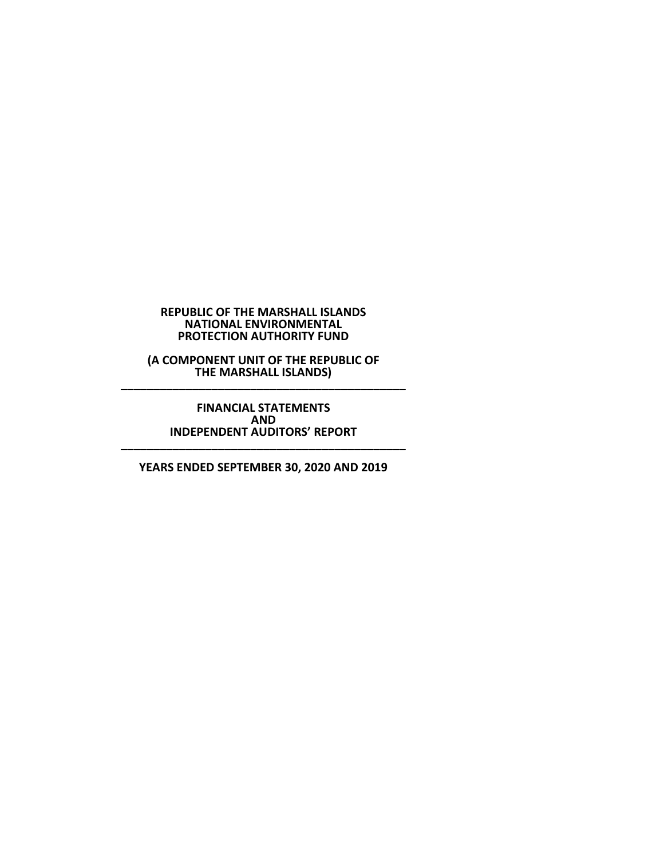#### **REPUBLIC OF THE MARSHALL ISLANDS NATIONAL ENVIRONMENTAL PROTECTION AUTHORITY FUND**

**(A COMPONENT UNIT OF THE REPUBLIC OF THE MARSHALL ISLANDS) \_\_\_\_\_\_\_\_\_\_\_\_\_\_\_\_\_\_\_\_\_\_\_\_\_\_\_\_\_\_\_\_\_\_\_\_\_\_\_\_\_\_\_\_**

#### **FINANCIAL STATEMENTS AND INDEPENDENT AUDITORS' REPORT \_\_\_\_\_\_\_\_\_\_\_\_\_\_\_\_\_\_\_\_\_\_\_\_\_\_\_\_\_\_\_\_\_\_\_\_\_\_\_\_\_\_\_\_**

**YEARS ENDED SEPTEMBER 30, 2020 AND 2019**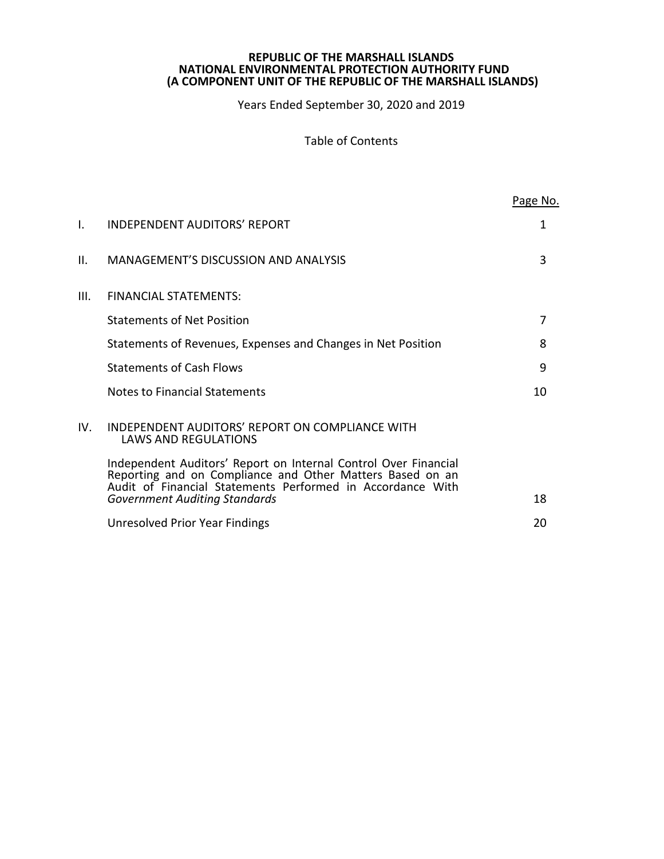Years Ended September 30, 2020 and 2019

# Table of Contents

|      |                                                                                                                                                                                            | Page No. |
|------|--------------------------------------------------------------------------------------------------------------------------------------------------------------------------------------------|----------|
| I.   | <b>INDEPENDENT AUDITORS' REPORT</b>                                                                                                                                                        | 1        |
| II.  | <b>MANAGEMENT'S DISCUSSION AND ANALYSIS</b>                                                                                                                                                | 3        |
| III. | <b>FINANCIAL STATEMENTS:</b>                                                                                                                                                               |          |
|      | <b>Statements of Net Position</b>                                                                                                                                                          | 7        |
|      | Statements of Revenues, Expenses and Changes in Net Position                                                                                                                               | 8        |
|      | <b>Statements of Cash Flows</b>                                                                                                                                                            | 9        |
|      | Notes to Financial Statements                                                                                                                                                              | 10       |
| IV.  | INDEPENDENT AUDITORS' REPORT ON COMPLIANCE WITH<br><b>LAWS AND REGULATIONS</b>                                                                                                             |          |
|      | Independent Auditors' Report on Internal Control Over Financial<br>Reporting and on Compliance and Other Matters Based on an<br>Audit of Financial Statements Performed in Accordance With |          |
|      | <b>Government Auditing Standards</b>                                                                                                                                                       | 18       |
|      | Unresolved Prior Year Findings                                                                                                                                                             | 20       |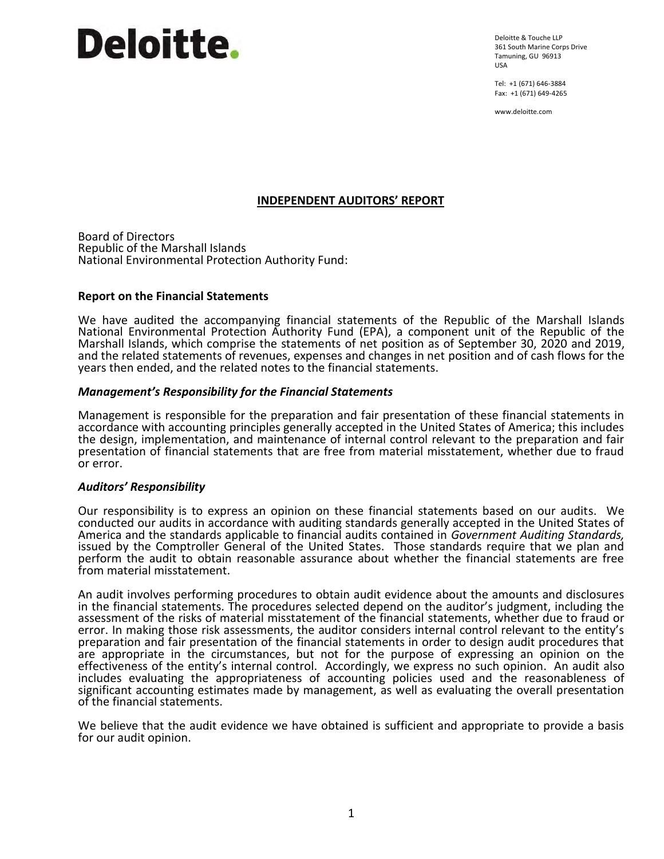# **Deloitte.**

Deloitte & Touche LLP 361 South Marine Corps Drive Tamuning, GU 96913 USA

Tel: +1 (671) 646-3884 Fax: +1 (671) 649-4265

www.deloitte.com

# **INDEPENDENT AUDITORS' REPORT**

Board of Directors Republic of the Marshall Islands National Environmental Protection Authority Fund:

# **Report on the Financial Statements**

We have audited the accompanying financial statements of the Republic of the Marshall Islands National Environmental Protection Authority Fund (EPA), a component unit of the Republic of the Marshall Islands, which comprise the statements of net position as of September 30, 2020 and 2019, and the related statements of revenues, expenses and changes in net position and of cash flows for the years then ended, and the related notes to the financial statements.

# *Management's Responsibility for the Financial Statements*

Management is responsible for the preparation and fair presentation of these financial statements in accordance with accounting principles generally accepted in the United States of America; this includes the design, implementation, and maintenance of internal control relevant to the preparation and fair presentation of financial statements that are free from material misstatement, whether due to fraud or error.

#### *Auditors' Responsibility*

Our responsibility is to express an opinion on these financial statements based on our audits. We conducted our audits in accordance with auditing standards generally accepted in the United States of America and the standards applicable to financial audits contained in *Government Auditing Standards,* issued by the Comptroller General of the United States. Those standards require that we plan and perform the audit to obtain reasonable assurance about whether the financial statements are free from material misstatement.

An audit involves performing procedures to obtain audit evidence about the amounts and disclosures in the financial statements. The procedures selected depend on the auditor's judgment, including the assessment of the risks of material misstatement of the financial statements, whether due to fraud or error. In making those risk assessments, the auditor considers internal control relevant to the entity's preparation and fair presentation of the financial statements in order to design audit procedures that are appropriate in the circumstances, but not for the purpose of expressing an opinion on the effectiveness of the entity's internal control. Accordingly, we express no such opinion. An audit also includes evaluating the appropriateness of accounting policies used and the reasonableness of significant accounting estimates made by management, as well as evaluating the overall presentation of the financial statements.

We believe that the audit evidence we have obtained is sufficient and appropriate to provide a basis for our audit opinion.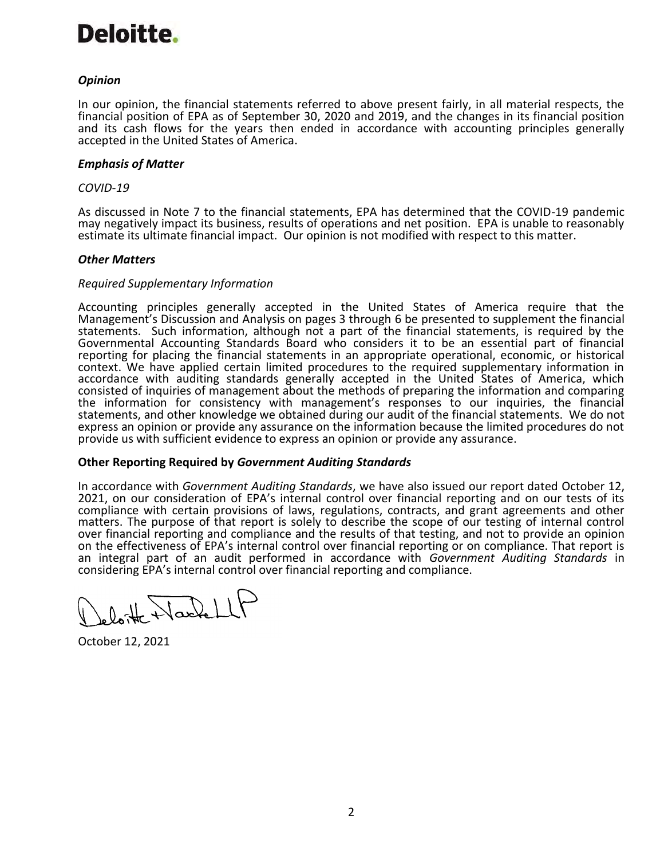# Deloitte.

# *Opinion*

In our opinion, the financial statements referred to above present fairly, in all material respects, the financial position of EPA as of September 30, 2020 and 2019, and the changes in its financial position and its cash flows for the years then ended in accordance with accounting principles generally accepted in the United States of America.

# *Emphasis of Matter*

#### *COVID-19*

As discussed in Note 7 to the financial statements, EPA has determined that the COVID-19 pandemic may negatively impact its business, results of operations and net position. EPA is unable to reasonably estimate its ultimate financial impact. Our opinion is not modified with respect to this matter.

# *Other Matters*

# *Required Supplementary Information*

Accounting principles generally accepted in the United States of America require that the Management's Discussion and Analysis on pages 3 through 6 be presented to supplement the financial statements. Such information, although not a part of the financial statements, is required by the Governmental Accounting Standards Board who considers it to be an essential part of financial reporting for placing the financial statements in an appropriate operational, economic, or historical context. We have applied certain limited procedures to the required supplementary information in accordance with auditing standards generally accepted in the United States of America, which consisted of inquiries of management about the methods of preparing the information and comparing the information for consistency with management's responses to our inquiries, the financial statements, and other knowledge we obtained during our audit of the financial statements. We do not express an opinion or provide any assurance on the information because the limited procedures do not provide us with sufficient evidence to express an opinion or provide any assurance.

# **Other Reporting Required by** *Government Auditing Standards*

In accordance with *Government Auditing Standards*, we have also issued our report dated October 12, 2021, on our consideration of EPA's internal control over financial reporting and on our tests of its compliance with certain provisions of laws, regulations, contracts, and grant agreements and other matters. The purpose of that report is solely to describe the scope of our testing of internal control over financial reporting and compliance and the results of that testing, and not to provide an opinion on the effectiveness of EPA's internal control over financial reporting or on compliance. That report is an integral part of an audit performed in accordance with *Government Auditing Standards* in considering EPA's internal control over financial reporting and compliance.

lotte Hardellt

October 12, 2021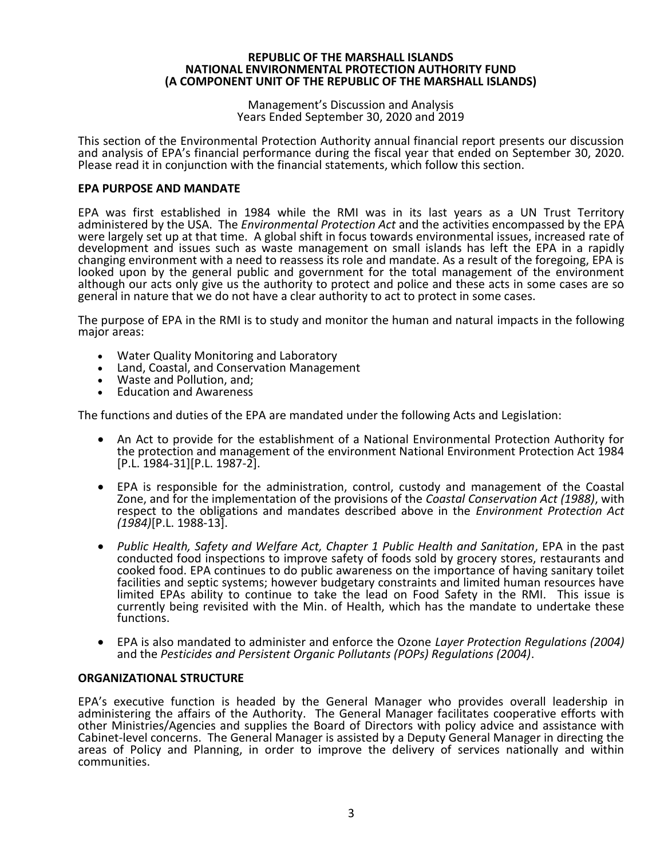#### Management's Discussion and Analysis Years Ended September 30, 2020 and 2019

This section of the Environmental Protection Authority annual financial report presents our discussion and analysis of EPA's financial performance during the fiscal year that ended on September 30, 2020. Please read it in conjunction with the financial statements, which follow this section.

# **EPA PURPOSE AND MANDATE**

EPA was first established in 1984 while the RMI was in its last years as a UN Trust Territory administered by the USA. The *Environmental Protection Act* and the activities encompassed by the EPA were largely set up at that time. A global shift in focus towards environmental issues, increased rate of development and issues such as waste management on small islands has left the EPA in a rapidly changing environment with a need to reassess its role and mandate. As a result of the foregoing, EPA is looked upon by the general public and government for the total management of the environment although our acts only give us the authority to protect and police and these acts in some cases are so general in nature that we do not have a clear authority to act to protect in some cases.

The purpose of EPA in the RMI is to study and monitor the human and natural impacts in the following major areas:

- Water Quality Monitoring and Laboratory
- Land, Coastal, and Conservation Management
- Waste and Pollution, and;
- Education and Awareness

The functions and duties of the EPA are mandated under the following Acts and Legislation:

- An Act to provide for the establishment of a National Environmental Protection Authority for the protection and management of the environment National Environment Protection Act 1984 [P.L. 1984-31][P.L. 1987-2].
- EPA is responsible for the administration, control, custody and management of the Coastal Zone, and for the implementation of the provisions of the *Coastal Conservation Act (1988)*, with respect to the obligations and mandates described above in the *Environment Protection Act (1984)*[P.L. 1988-13].
- *Public Health, Safety and Welfare Act, Chapter 1 Public Health and Sanitation*, EPA in the past conducted food inspections to improve safety of foods sold by grocery stores, restaurants and cooked food. EPA continues to do public awareness on the importance of having sanitary toilet facilities and septic systems; however budgetary constraints and limited human resources have limited EPAs ability to continue to take the lead on Food Safety in the RMI. This issue is currently being revisited with the Min. of Health, which has the mandate to undertake these functions.
- EPA is also mandated to administer and enforce the Ozone *Layer Protection Regulations (2004)* and the *Pesticides and Persistent Organic Pollutants (POPs) Regulations (2004)*.

#### **ORGANIZATIONAL STRUCTURE**

EPA's executive function is headed by the General Manager who provides overall leadership in administering the affairs of the Authority. The General Manager facilitates cooperative efforts with other Ministries/Agencies and supplies the Board of Directors with policy advice and assistance with Cabinet-level concerns. The General Manager is assisted by a Deputy General Manager in directing the areas of Policy and Planning, in order to improve the delivery of services nationally and within communities.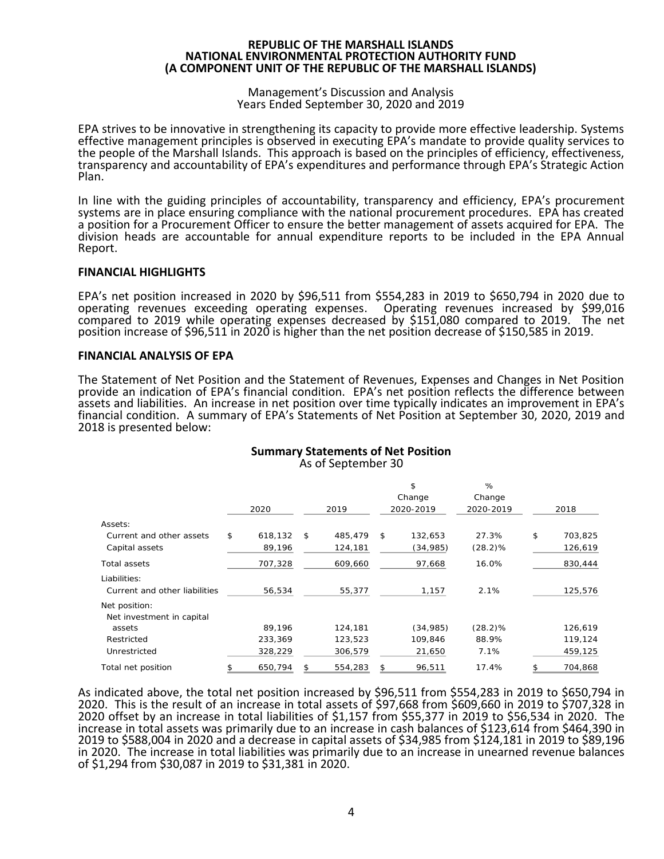#### Management's Discussion and Analysis Years Ended September 30, 2020 and 2019

EPA strives to be innovative in strengthening its capacity to provide more effective leadership. Systems effective management principles is observed in executing EPA's mandate to provide quality services to the people of the Marshall Islands. This approach is based on the principles of efficiency, effectiveness, transparency and accountability of EPA's expenditures and performance through EPA's Strategic Action Plan.

In line with the guiding principles of accountability, transparency and efficiency, EPA's procurement systems are in place ensuring compliance with the national procurement procedures. EPA has created a position for a Procurement Officer to ensure the better management of assets acquired for EPA. The division heads are accountable for annual expenditure reports to be included in the EPA Annual Report.

# **FINANCIAL HIGHLIGHTS**

EPA's net position increased in 2020 by \$96,511 from \$554,283 in 2019 to \$650,794 in 2020 due to operating revenues exceeding operating expenses. Operating revenues increased by \$99,016 compared to 2019 while operating expenses decreased by \$151,080 compared to 2019. The net position increase of \$96,511 in 2020 is higher than the net position decrease of \$150,585 in 2019.

# **FINANCIAL ANALYSIS OF EPA**

The Statement of Net Position and the Statement of Revenues, Expenses and Changes in Net Position provide an indication of EPA's financial condition. EPA's net position reflects the difference between assets and liabilities. An increase in net position over time typically indicates an improvement in EPA's financial condition. A summary of EPA's Statements of Net Position at September 30, 2020, 2019 and 2018 is presented below:

|                               |               |               | \$            | %          |               |
|-------------------------------|---------------|---------------|---------------|------------|---------------|
|                               |               |               | Change        | Change     |               |
|                               | 2020          | 2019          | 2020-2019     | 2020-2019  | 2018          |
| Assets:                       |               |               |               |            |               |
| Current and other assets      | \$<br>618,132 | \$<br>485.479 | \$<br>132.653 | 27.3%      | \$<br>703,825 |
| Capital assets                | 89,196        | 124,181       | (34,985)      | $(28.2)\%$ | 126,619       |
| Total assets                  | 707,328       | 609,660       | 97,668        | 16.0%      | 830,444       |
| Liabilities:                  |               |               |               |            |               |
| Current and other liabilities | 56,534        | 55,377        | 1,157         | 2.1%       | 125,576       |
| Net position:                 |               |               |               |            |               |
| Net investment in capital     |               |               |               |            |               |
| assets                        | 89.196        | 124,181       | (34, 985)     | $(28.2)\%$ | 126,619       |
| Restricted                    | 233,369       | 123,523       | 109,846       | 88.9%      | 119,124       |
| Unrestricted                  | 328,229       | 306,579       | 21,650        | 7.1%       | 459,125       |
| Total net position            | \$<br>650,794 | \$<br>554,283 | \$<br>96,511  | 17.4%      | \$<br>704,868 |

#### **Summary Statements of Net Position** As of September 30

As indicated above, the total net position increased by \$96,511 from \$554,283 in 2019 to \$650,794 in 2020. This is the result of an increase in total assets of \$97,668 from \$609,660 in 2019 to \$707,328 in 2020 offset by an increase in total liabilities of \$1,157 from \$55,377 in 2019 to \$56,534 in 2020. The increase in total assets was primarily due to an increase in cash balances of \$123,614 from \$464,390 in 2019 to \$588,004 in 2020 and a decrease in capital assets of \$34,985 from \$124,181 in 2019 to \$89,196 in 2020. The increase in total liabilities was primarily due to an increase in unearned revenue balances of \$1,294 from \$30,087 in 2019 to \$31,381 in 2020.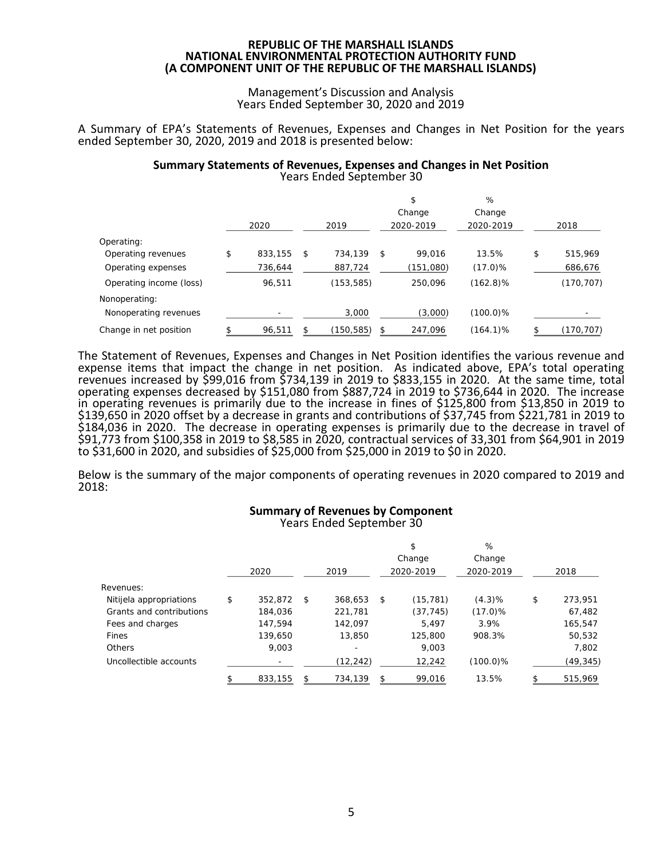#### Management's Discussion and Analysis Years Ended September 30, 2020 and 2019

A Summary of EPA's Statements of Revenues, Expenses and Changes in Net Position for the years ended September 30, 2020, 2019 and 2018 is presented below:

#### **Summary Statements of Revenues, Expenses and Changes in Net Position** Years Ended September 30

|                         | 2020          | 2019          | \$<br>Change<br>2020-2019 | %<br>Change<br>2020-2019 | 2018          |
|-------------------------|---------------|---------------|---------------------------|--------------------------|---------------|
| Operating:              |               |               |                           |                          |               |
| Operating revenues      | \$<br>833,155 | \$<br>734.139 | \$<br>99,016              | 13.5%                    | \$<br>515,969 |
| Operating expenses      | 736,644       | 887,724       | (151,080)                 | $(17.0)\%$               | 686,676       |
| Operating income (loss) | 96,511        | (153, 585)    | 250,096                   | $(162.8)\%$              | (170, 707)    |
| Nonoperating:           |               |               |                           |                          |               |
| Nonoperating revenues   |               | 3,000         | (3,000)                   | $(100.0)\%$              |               |
| Change in net position  | 96,511        | (150,585)     | 247,096                   | $(164.1)\%$              | (170, 707)    |

The Statement of Revenues, Expenses and Changes in Net Position identifies the various revenue and expense items that impact the change in net position. As indicated above, EPA's total operating revenues increased by \$99,016 from \$734,139 in 2019 to \$833,155 in 2020. At the same time, total operating expenses decreased by \$151,080 from \$887,724 in 2019 to \$736,644 in 2020. The increase in operating revenues is primarily due to the increase in fines of \$125,800 from \$13,850 in 2019 to \$139,650 in 2020 offset by a decrease in grants and contributions of \$37,745 from \$221,781 in 2019 to \$184,036 in 2020. The decrease in operating expenses is primarily due to the decrease in travel of \$91,773 from \$100,358 in 2019 to \$8,585 in 2020, contractual services of 33,301 from \$64,901 in 2019 to \$31,600 in 2020, and subsidies of \$25,000 from \$25,000 in 2019 to \$0 in 2020.

Below is the summary of the major components of operating revenues in 2020 compared to 2019 and 2018:

#### **Summary of Revenues by Component** Years Ended September 30

|                          | 2020          | 2019          | \$<br>Change<br>2020-2019 | %<br>Change<br>2020-2019 | 2018          |
|--------------------------|---------------|---------------|---------------------------|--------------------------|---------------|
| Revenues:                |               |               |                           |                          |               |
| Nitijela appropriations  | \$<br>352.872 | \$<br>368.653 | \$<br>(15, 781)           | (4.3)%                   | \$<br>273,951 |
| Grants and contributions | 184.036       | 221,781       | (37, 745)                 | $(17.0)\%$               | 67,482        |
| Fees and charges         | 147.594       | 142.097       | 5.497                     | 3.9%                     | 165,547       |
| Fines                    | 139.650       | 13,850        | 125.800                   | 908.3%                   | 50,532        |
| Others                   | 9.003         | ۰             | 9,003                     |                          | 7,802         |
| Uncollectible accounts   |               | (12, 242)     | 12,242                    | $(100.0)\%$              | (49,345)      |
|                          | 833.155       | 734.139       | \$<br>99.016              | 13.5%                    | 515.969       |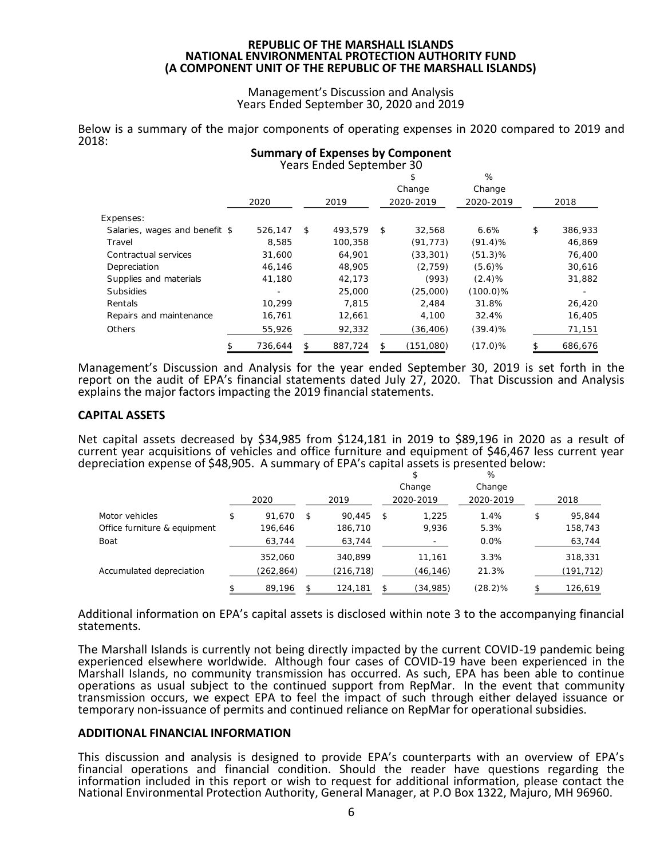#### Management's Discussion and Analysis Years Ended September 30, 2020 and 2019

Below is a summary of the major components of operating expenses in 2020 compared to 2019 and 2018: **Summary of Expenses by Component**

|                                |         | Years Ended September 30 |              |             |               |
|--------------------------------|---------|--------------------------|--------------|-------------|---------------|
|                                |         |                          | Ъ            | %           |               |
|                                |         |                          | Change       | Change      |               |
|                                | 2020    | 2019                     | 2020-2019    | 2020-2019   | 2018          |
| Expenses:                      |         |                          |              |             |               |
| Salaries, wages and benefit \$ | 526.147 | 493.579<br>$\mathcal{L}$ | 32.568<br>\$ | 6.6%        | \$<br>386,933 |
| Travel                         | 8.585   | 100.358                  | (91, 773)    | $(91.4)\%$  | 46,869        |
| Contractual services           | 31,600  | 64,901                   | (33, 301)    | $(51.3)$ %  | 76,400        |
| Depreciation                   | 46.146  | 48.905                   | (2, 759)     | $(5.6)$ %   | 30,616        |
| Supplies and materials         | 41,180  | 42.173                   | (993)        | (2.4)%      | 31,882        |
| <b>Subsidies</b>               |         | 25,000                   | (25,000)     | $(100.0)\%$ |               |
| Rentals                        | 10.299  | 7.815                    | 2.484        | 31.8%       | 26,420        |
| Repairs and maintenance        | 16,761  | 12,661                   | 4,100        | 32.4%       | 16,405        |
| Others                         | 55,926  | 92,332                   | (36,406)     | $(39.4)\%$  | 71,151        |
|                                | 736,644 | 887,724                  | (151,080)    | $(17.0)\%$  | 686,676       |

Management's Discussion and Analysis for the year ended September 30, 2019 is set forth in the report on the audit of EPA's financial statements dated July 27, 2020. That Discussion and Analysis explains the major factors impacting the 2019 financial statements.

# **CAPITAL ASSETS**

Net capital assets decreased by \$34,985 from \$124,181 in 2019 to \$89,196 in 2020 as a result of current year acquisitions of vehicles and office furniture and equipment of \$46,467 less current year depreciation expense of \$48,905. A summary of EPA's capital assets is presented below:

|                              |              |     |            | \$<br>Change | %<br>Change |              |
|------------------------------|--------------|-----|------------|--------------|-------------|--------------|
|                              | 2020         |     | 2019       | 2020-2019    | 2020-2019   | 2018         |
| Motor vehicles               | \$<br>91,670 | \$. | 90.445     | \$<br>1.225  | 1.4%        | \$<br>95.844 |
| Office furniture & equipment | 196,646      |     | 186,710    | 9,936        | 5.3%        | 158,743      |
| Boat                         | 63,744       |     | 63,744     |              | 0.0%        | 63,744       |
|                              | 352,060      |     | 340.899    | 11,161       | 3.3%        | 318,331      |
| Accumulated depreciation     | (262, 864)   |     | (216, 718) | (46,146)     | 21.3%       | (191,712)    |
|                              | 89,196       |     | 124,181    | (34,985)     | (28.2)%     | 126,619      |

# Additional information on EPA's capital assets is disclosed within note 3 to the accompanying financial statements.

The Marshall Islands is currently not being directly impacted by the current COVID-19 pandemic being experienced elsewhere worldwide. Although four cases of COVID-19 have been experienced in the Marshall Islands, no community transmission has occurred. As such, EPA has been able to continue operations as usual subject to the continued support from RepMar. In the event that community transmission occurs, we expect EPA to feel the impact of such through either delayed issuance or temporary non-issuance of permits and continued reliance on RepMar for operational subsidies.

#### **ADDITIONAL FINANCIAL INFORMATION**

This discussion and analysis is designed to provide EPA's counterparts with an overview of EPA's financial operations and financial condition. Should the reader have questions regarding the information included in this report or wish to request for additional information, please contact the National Environmental Protection Authority, General Manager, at P.O Box 1322, Majuro, MH 96960.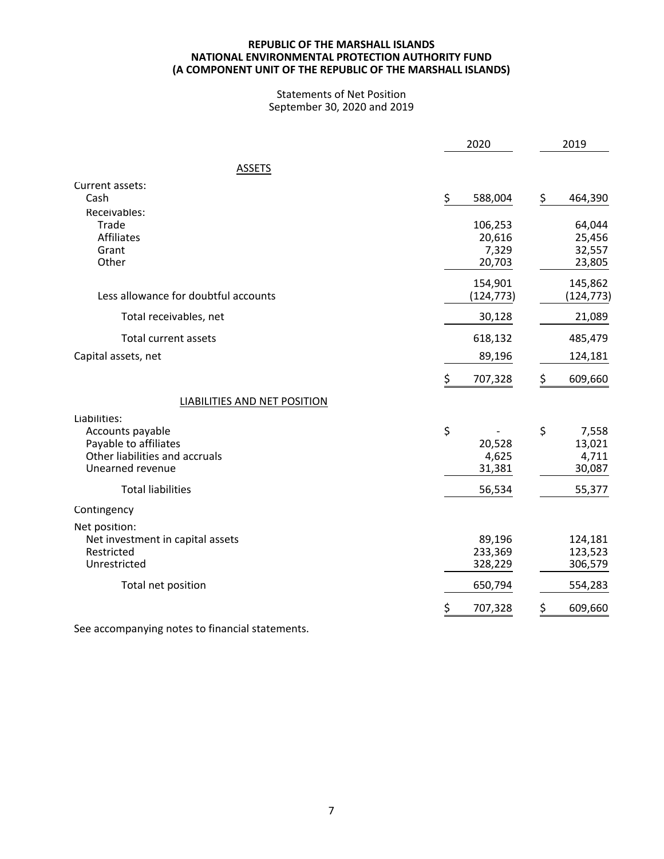#### **NATIONAL ENVIRONMENTAL PROTECTION AUTHORITY FUND REPUBLIC OF THE MARSHALL ISLANDS (A COMPONENT UNIT OF THE REPUBLIC OF THE MARSHALL ISLANDS)**

#### Statements of Net Position September 30, 2020 and 2019

|                                                                                                                                             | 2020                                      | 2019                                               |  |
|---------------------------------------------------------------------------------------------------------------------------------------------|-------------------------------------------|----------------------------------------------------|--|
| <b>ASSETS</b>                                                                                                                               |                                           |                                                    |  |
| Current assets:<br>Cash                                                                                                                     | \$<br>588,004                             | \$<br>464,390                                      |  |
| Receivables:<br>Trade<br>Affiliates<br>Grant<br>Other                                                                                       | 106,253<br>20,616<br>7,329<br>20,703      | 64,044<br>25,456<br>32,557<br>23,805               |  |
| Less allowance for doubtful accounts                                                                                                        | 154,901<br>(124, 773)                     | 145,862<br>(124, 773)                              |  |
| Total receivables, net                                                                                                                      | 30,128                                    | 21,089                                             |  |
| <b>Total current assets</b>                                                                                                                 | 618,132                                   | 485,479                                            |  |
| Capital assets, net                                                                                                                         | 89,196                                    | 124,181                                            |  |
|                                                                                                                                             | \$<br>707,328                             | \$<br>609,660                                      |  |
| LIABILITIES AND NET POSITION                                                                                                                |                                           |                                                    |  |
| Liabilities:<br>Accounts payable<br>Payable to affiliates<br>Other liabilities and accruals<br>Unearned revenue<br><b>Total liabilities</b> | \$<br>20,528<br>4,625<br>31,381<br>56,534 | \$<br>7,558<br>13,021<br>4,711<br>30,087<br>55,377 |  |
| Contingency                                                                                                                                 |                                           |                                                    |  |
| Net position:<br>Net investment in capital assets<br>Restricted<br>Unrestricted                                                             | 89,196<br>233,369<br>328,229              | 124,181<br>123,523<br>306,579                      |  |
| Total net position                                                                                                                          | 650,794                                   | 554,283                                            |  |
|                                                                                                                                             | \$<br>707,328                             | \$<br>609,660                                      |  |

See accompanying notes to financial statements.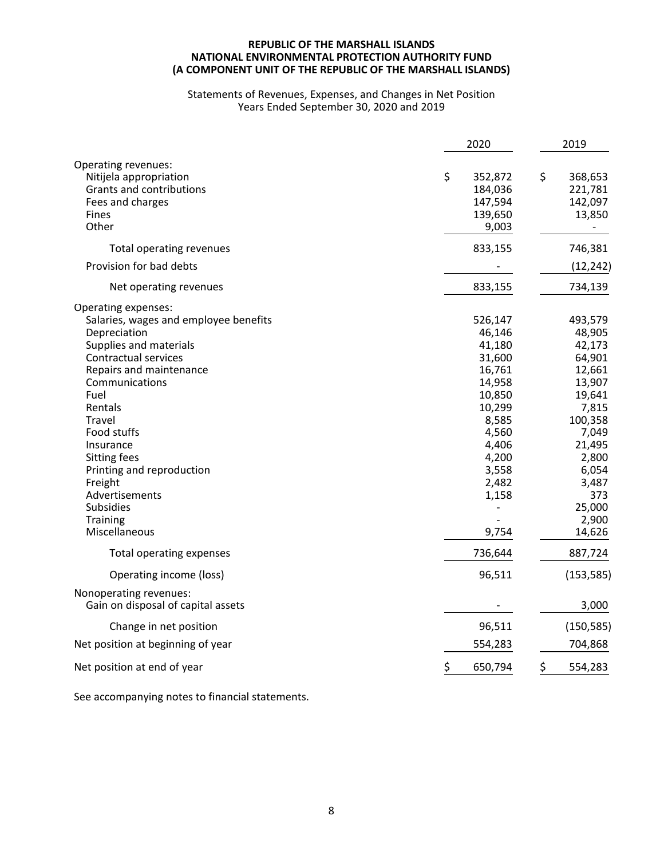#### **NATIONAL ENVIRONMENTAL PROTECTION AUTHORITY FUND REPUBLIC OF THE MARSHALL ISLANDS (A COMPONENT UNIT OF THE REPUBLIC OF THE MARSHALL ISLANDS)**

#### Statements of Revenues, Expenses, and Changes in Net Position Years Ended September 30, 2020 and 2019

|                                                                                                                                                                                                                                                                                                                                                                 | 2020                                                                                                                                                  | 2019                                                                                                                                                                      |
|-----------------------------------------------------------------------------------------------------------------------------------------------------------------------------------------------------------------------------------------------------------------------------------------------------------------------------------------------------------------|-------------------------------------------------------------------------------------------------------------------------------------------------------|---------------------------------------------------------------------------------------------------------------------------------------------------------------------------|
| Operating revenues:<br>Nitijela appropriation<br>Grants and contributions<br>Fees and charges<br>Fines<br>Other                                                                                                                                                                                                                                                 | \$<br>352,872<br>184,036<br>147,594<br>139,650<br>9,003                                                                                               | \$<br>368,653<br>221,781<br>142,097<br>13,850<br>$\overline{\phantom{0}}$                                                                                                 |
| Total operating revenues                                                                                                                                                                                                                                                                                                                                        | 833,155                                                                                                                                               | 746,381                                                                                                                                                                   |
| Provision for bad debts                                                                                                                                                                                                                                                                                                                                         |                                                                                                                                                       | (12, 242)                                                                                                                                                                 |
| Net operating revenues                                                                                                                                                                                                                                                                                                                                          | 833,155                                                                                                                                               | 734,139                                                                                                                                                                   |
| Operating expenses:<br>Salaries, wages and employee benefits<br>Depreciation<br>Supplies and materials<br>Contractual services<br>Repairs and maintenance<br>Communications<br>Fuel<br>Rentals<br>Travel<br>Food stuffs<br>Insurance<br>Sitting fees<br>Printing and reproduction<br>Freight<br>Advertisements<br>Subsidies<br><b>Training</b><br>Miscellaneous | 526,147<br>46,146<br>41,180<br>31,600<br>16,761<br>14,958<br>10,850<br>10,299<br>8,585<br>4,560<br>4,406<br>4,200<br>3,558<br>2,482<br>1,158<br>9,754 | 493,579<br>48,905<br>42,173<br>64,901<br>12,661<br>13,907<br>19,641<br>7,815<br>100,358<br>7,049<br>21,495<br>2,800<br>6,054<br>3,487<br>373<br>25,000<br>2,900<br>14,626 |
| Total operating expenses                                                                                                                                                                                                                                                                                                                                        | 736,644                                                                                                                                               | 887,724                                                                                                                                                                   |
| Operating income (loss)                                                                                                                                                                                                                                                                                                                                         | 96,511                                                                                                                                                | (153, 585)                                                                                                                                                                |
| Nonoperating revenues:<br>Gain on disposal of capital assets                                                                                                                                                                                                                                                                                                    |                                                                                                                                                       | 3,000                                                                                                                                                                     |
| Change in net position                                                                                                                                                                                                                                                                                                                                          | 96,511                                                                                                                                                | (150, 585)                                                                                                                                                                |
| Net position at beginning of year                                                                                                                                                                                                                                                                                                                               | 554,283                                                                                                                                               | 704,868                                                                                                                                                                   |
| Net position at end of year                                                                                                                                                                                                                                                                                                                                     | \$<br>650,794                                                                                                                                         | \$<br>554,283                                                                                                                                                             |

See accompanying notes to financial statements.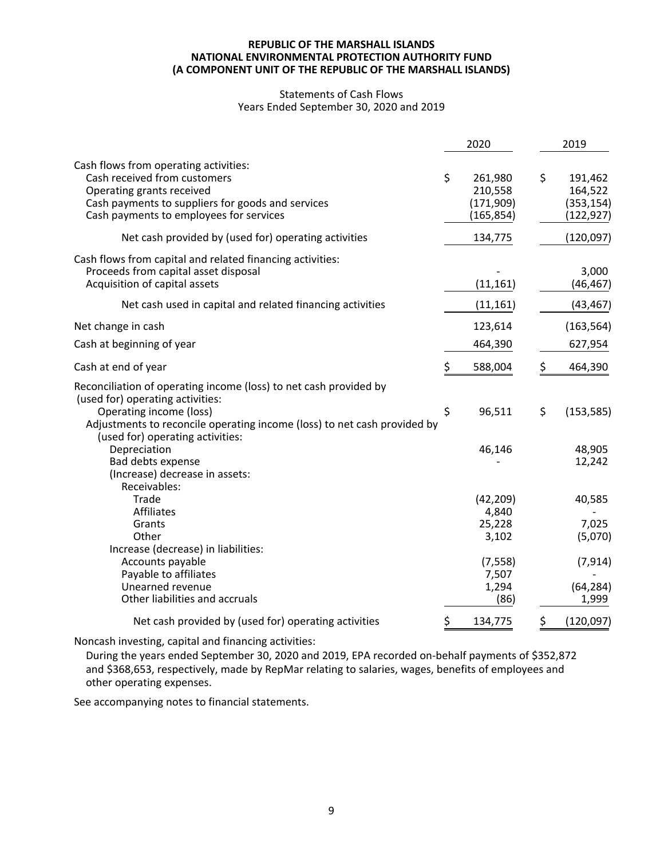#### **NATIONAL ENVIRONMENTAL PROTECTION AUTHORITY FUND REPUBLIC OF THE MARSHALL ISLANDS (A COMPONENT UNIT OF THE REPUBLIC OF THE MARSHALL ISLANDS)**

#### Statements of Cash Flows Years Ended September 30, 2020 and 2019

|                                                                                                                                                                                                                                                  | 2020                                                 | 2019                                                 |
|--------------------------------------------------------------------------------------------------------------------------------------------------------------------------------------------------------------------------------------------------|------------------------------------------------------|------------------------------------------------------|
| Cash flows from operating activities:<br>Cash received from customers<br>Operating grants received<br>Cash payments to suppliers for goods and services<br>Cash payments to employees for services                                               | \$<br>261,980<br>210,558<br>(171, 909)<br>(165, 854) | \$<br>191,462<br>164,522<br>(353, 154)<br>(122, 927) |
| Net cash provided by (used for) operating activities                                                                                                                                                                                             | 134,775                                              | (120, 097)                                           |
| Cash flows from capital and related financing activities:<br>Proceeds from capital asset disposal<br>Acquisition of capital assets                                                                                                               | (11, 161)                                            | 3,000<br>(46, 467)                                   |
| Net cash used in capital and related financing activities                                                                                                                                                                                        | (11, 161)                                            | (43, 467)                                            |
| Net change in cash                                                                                                                                                                                                                               | 123,614                                              | (163, 564)                                           |
| Cash at beginning of year                                                                                                                                                                                                                        | 464,390                                              | 627,954                                              |
| Cash at end of year                                                                                                                                                                                                                              | \$<br>588,004                                        | \$<br>464,390                                        |
| Reconciliation of operating income (loss) to net cash provided by<br>(used for) operating activities:<br>Operating income (loss)<br>Adjustments to reconcile operating income (loss) to net cash provided by<br>(used for) operating activities: | \$<br>96,511                                         | \$<br>(153, 585)                                     |
| Depreciation<br>Bad debts expense<br>(Increase) decrease in assets:<br>Receivables:                                                                                                                                                              | 46,146                                               | 48,905<br>12,242                                     |
| Trade<br>Affiliates<br>Grants<br>Other                                                                                                                                                                                                           | (42, 209)<br>4,840<br>25,228<br>3,102                | 40,585<br>7,025<br>(5,070)                           |
| Increase (decrease) in liabilities:<br>Accounts payable<br>Payable to affiliates<br>Unearned revenue<br>Other liabilities and accruals                                                                                                           | (7, 558)<br>7,507<br>1,294<br>(86)                   | (7, 914)<br>(64, 284)<br>1,999                       |
| Net cash provided by (used for) operating activities                                                                                                                                                                                             | \$<br>134,775                                        | \$<br>(120, 097)                                     |

Noncash investing, capital and financing activities:

During the years ended September 30, 2020 and 2019, EPA recorded on-behalf payments of \$352,872 and \$368,653, respectively, made by RepMar relating to salaries, wages, benefits of employees and other operating expenses.

See accompanying notes to financial statements.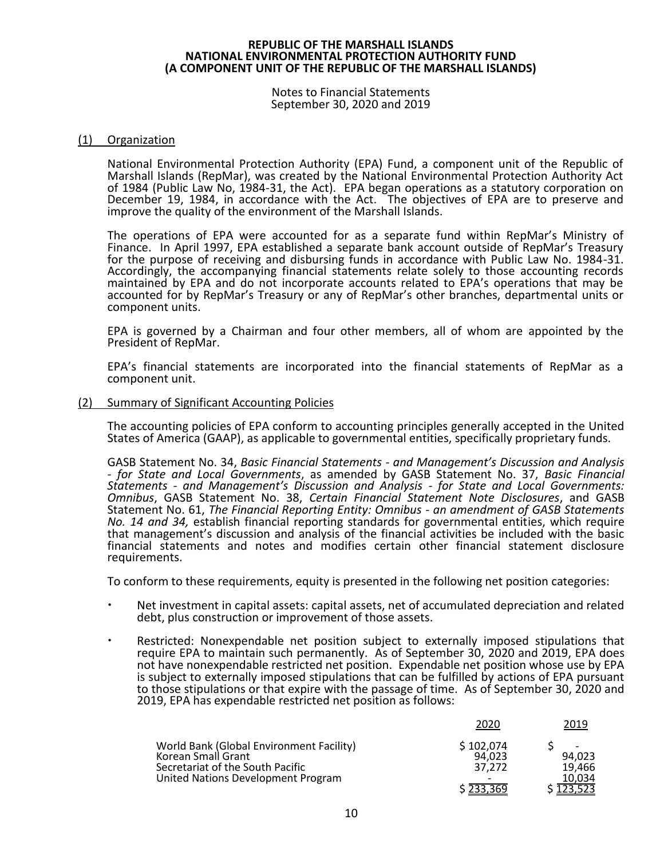Notes to Financial Statements September 30, 2020 and 2019

#### (1) Organization

National Environmental Protection Authority (EPA) Fund, a component unit of the Republic of Marshall Islands (RepMar), was created by the National Environmental Protection Authority Act of 1984 (Public Law No, 1984-31, the Act). EPA began operations as a statutory corporation on December 19, 1984, in accordance with the Act. The objectives of EPA are to preserve and improve the quality of the environment of the Marshall Islands.

The operations of EPA were accounted for as a separate fund within RepMar's Ministry of Finance. In April 1997, EPA established a separate bank account outside of RepMar's Treasury for the purpose of receiving and disbursing funds in accordance with Public Law No. 1984-31. Accordingly, the accompanying financial statements relate solely to those accounting records maintained by EPA and do not incorporate accounts related to EPA's operations that may be accounted for by RepMar's Treasury or any of RepMar's other branches, departmental units or component units.

EPA is governed by a Chairman and four other members, all of whom are appointed by the President of RepMar.

EPA's financial statements are incorporated into the financial statements of RepMar as a component unit.

#### (2) Summary of Significant Accounting Policies

The accounting policies of EPA conform to accounting principles generally accepted in the United States of America (GAAP), as applicable to governmental entities, specifically proprietary funds.

GASB Statement No. 34, *Basic Financial Statements - and Management's Discussion and Analysis - for State and Local Governments*, as amended by GASB Statement No. 37, *Basic Financial Statements - and Management's Discussion and Analysis - for State and Local Governments: Omnibus*, GASB Statement No. 38, *Certain Financial Statement Note Disclosures*, and GASB Statement No. 61, *The Financial Reporting Entity: Omnibus - an amendment of GASB Statements No. 14 and 34,* establish financial reporting standards for governmental entities, which require that management's discussion and analysis of the financial activities be included with the basic financial statements and notes and modifies certain other financial statement disclosure requirements.

To conform to these requirements, equity is presented in the following net position categories:

- Net investment in capital assets: capital assets, net of accumulated depreciation and related debt, plus construction or improvement of those assets.
- Restricted: Nonexpendable net position subject to externally imposed stipulations that require EPA to maintain such permanently. As of September 30, 2020 and 2019, EPA does not have nonexpendable restricted net position. Expendable net position whose use by EPA is subject to externally imposed stipulations that can be fulfilled by actions of EPA pursuant to those stipulations or that expire with the passage of time. As of September 30, 2020 and 2019, EPA has expendable restricted net position as follows:

|                                                                                                                                          | 2020                                                                   | 2019                                  |
|------------------------------------------------------------------------------------------------------------------------------------------|------------------------------------------------------------------------|---------------------------------------|
| World Bank (Global Environment Facility)<br>Korean Small Grant<br>Secretariat of the South Pacific<br>United Nations Development Program | \$102,074<br>94.023<br>37.272<br>$\overline{\phantom{0}}$<br>\$233,369 | 94.023<br>19.466<br>10.034<br>123,523 |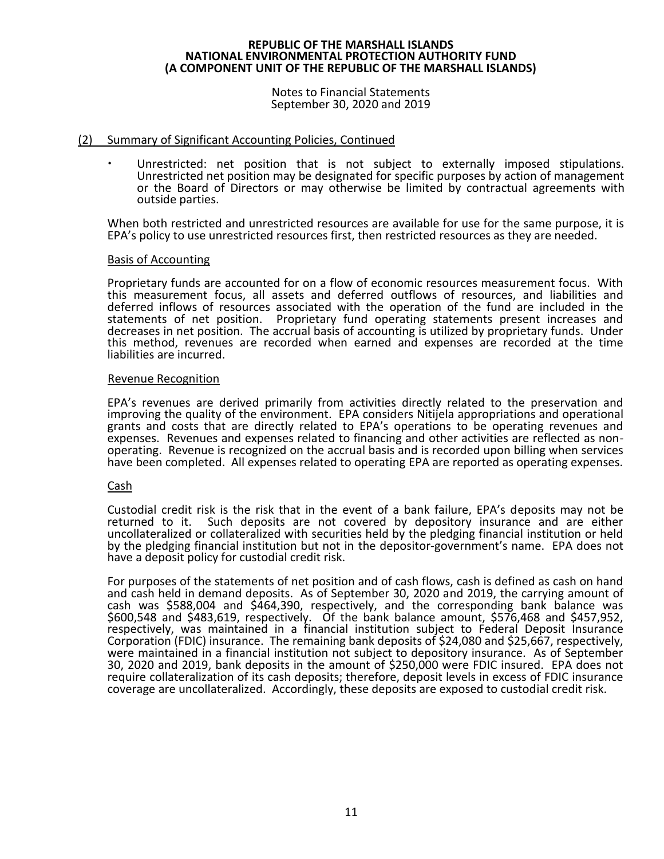#### Notes to Financial Statements September 30, 2020 and 2019

# (2) Summary of Significant Accounting Policies, Continued

 Unrestricted: net position that is not subject to externally imposed stipulations. Unrestricted net position may be designated for specific purposes by action of management or the Board of Directors or may otherwise be limited by contractual agreements with outside parties.

When both restricted and unrestricted resources are available for use for the same purpose, it is EPA's policy to use unrestricted resources first, then restricted resources as they are needed.

# Basis of Accounting

Proprietary funds are accounted for on a flow of economic resources measurement focus. With this measurement focus, all assets and deferred outflows of resources, and liabilities and deferred inflows of resources associated with the operation of the fund are included in the statements of net position. Proprietary fund operating statements present increases and decreases in net position. The accrual basis of accounting is utilized by proprietary funds. Under this method, revenues are recorded when earned and expenses are recorded at the time liabilities are incurred.

# Revenue Recognition

EPA's revenues are derived primarily from activities directly related to the preservation and improving the quality of the environment. EPA considers Nitijela appropriations and operational grants and costs that are directly related to EPA's operations to be operating revenues and expenses. Revenues and expenses related to financing and other activities are reflected as nonoperating. Revenue is recognized on the accrual basis and is recorded upon billing when services have been completed. All expenses related to operating EPA are reported as operating expenses.

# Cash

Custodial credit risk is the risk that in the event of a bank failure, EPA's deposits may not be returned to it. Such deposits are not covered by depository insurance and are either uncollateralized or collateralized with securities held by the pledging financial institution or held by the pledging financial institution but not in the depositor-government's name. EPA does not have a deposit policy for custodial credit risk.

For purposes of the statements of net position and of cash flows, cash is defined as cash on hand and cash held in demand deposits. As of September 30, 2020 and 2019, the carrying amount of cash was \$588,004 and \$464,390, respectively, and the corresponding bank balance was \$600,548 and \$483,619, respectively. Of the bank balance amount, \$576,468 and \$457,952, respectively, was maintained in a financial institution subject to Federal Deposit Insurance Corporation (FDIC) insurance. The remaining bank deposits of \$24,080 and \$25,667, respectively, were maintained in a financial institution not subject to depository insurance. As of September 30, 2020 and 2019, bank deposits in the amount of \$250,000 were FDIC insured. EPA does not require collateralization of its cash deposits; therefore, deposit levels in excess of FDIC insurance coverage are uncollateralized. Accordingly, these deposits are exposed to custodial credit risk.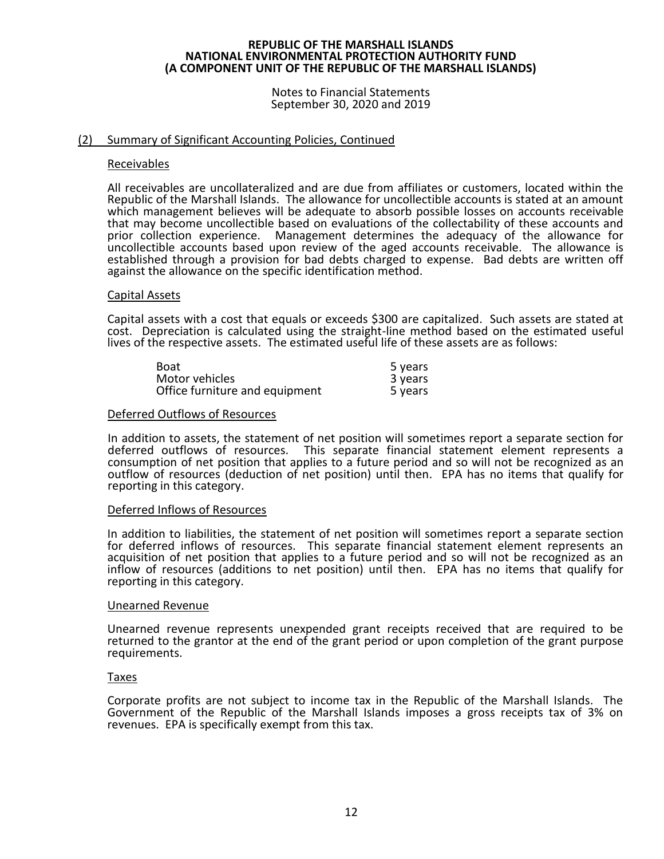Notes to Financial Statements September 30, 2020 and 2019

# (2) Summary of Significant Accounting Policies, Continued

#### Receivables

All receivables are uncollateralized and are due from affiliates or customers, located within the Republic of the Marshall Islands. The allowance for uncollectible accounts is stated at an amount which management believes will be adequate to absorb possible losses on accounts receivable that may become uncollectible based on evaluations of the collectability of these accounts and prior collection experience. Management determines the adequacy of the allowance for uncollectible accounts based upon review of the aged accounts receivable. The allowance is established through a provision for bad debts charged to expense. Bad debts are written off against the allowance on the specific identification method.

#### Capital Assets

Capital assets with a cost that equals or exceeds \$300 are capitalized. Such assets are stated at cost. Depreciation is calculated using the straight-line method based on the estimated useful lives of the respective assets. The estimated useful life of these assets are as follows:

| <b>Boat</b>                    | 5 years |
|--------------------------------|---------|
| Motor vehicles                 | 3 years |
| Office furniture and equipment | 5 years |

#### Deferred Outflows of Resources

In addition to assets, the statement of net position will sometimes report a separate section for deferred outflows of resources. This separate financial statement element represents a consumption of net position that applies to a future period and so will not be recognized as an outflow of resources (deduction of net position) until then. EPA has no items that qualify for reporting in this category.

#### Deferred Inflows of Resources

In addition to liabilities, the statement of net position will sometimes report a separate section for deferred inflows of resources. This separate financial statement element represents an acquisition of net position that applies to a future period and so will not be recognized as an inflow of resources (additions to net position) until then. EPA has no items that qualify for reporting in this category.

#### Unearned Revenue

Unearned revenue represents unexpended grant receipts received that are required to be returned to the grantor at the end of the grant period or upon completion of the grant purpose requirements.

#### Taxes

Corporate profits are not subject to income tax in the Republic of the Marshall Islands. The Government of the Republic of the Marshall Islands imposes a gross receipts tax of 3% on revenues. EPA is specifically exempt from this tax.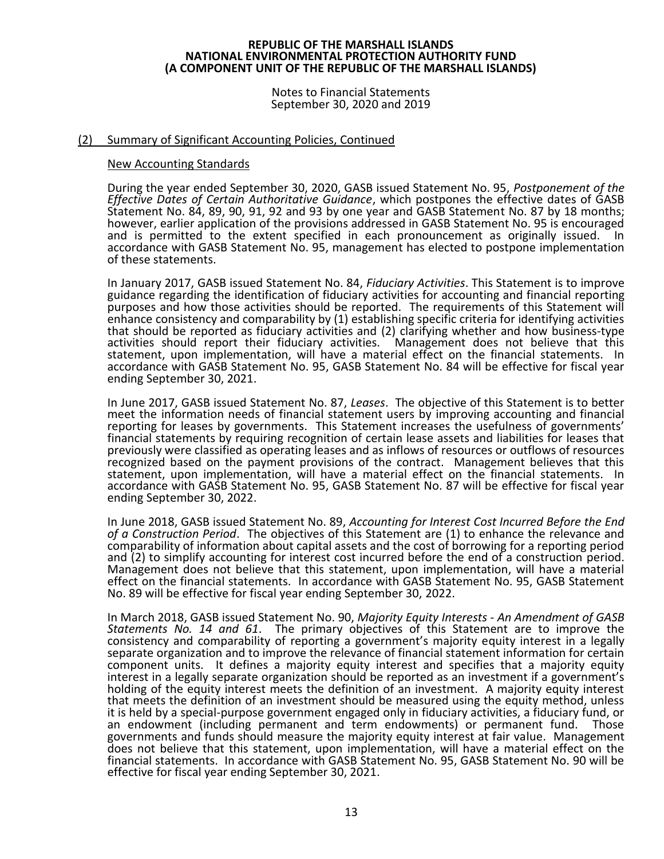Notes to Financial Statements September 30, 2020 and 2019

# (2) Summary of Significant Accounting Policies, Continued

#### New Accounting Standards

During the year ended September 30, 2020, GASB issued Statement No. 95, *Postponement of the Effective Dates of Certain Authoritative Guidance*, which postpones the effective dates of GASB Statement No. 84, 89, 90, 91, 92 and 93 by one year and GASB Statement No. 87 by 18 months; however, earlier application of the provisions addressed in GASB Statement No. 95 is encouraged and is permitted to the extent specified in each pronouncement as originally issued. In accordance with GASB Statement No. 95, management has elected to postpone implementation of these statements.

In January 2017, GASB issued Statement No. 84, *Fiduciary Activities*. This Statement is to improve guidance regarding the identification of fiduciary activities for accounting and financial reporting purposes and how those activities should be reported. The requirements of this Statement will enhance consistency and comparability by (1) establishing specific criteria for identifying activities that should be reported as fiduciary activities and (2) clarifying whether and how business-type activities should report their fiduciary activities. Management does not believe that this statement, upon implementation, will have a material effect on the financial statements. In accordance with GASB Statement No. 95, GASB Statement No. 84 will be effective for fiscal year ending September 30, 2021.

In June 2017, GASB issued Statement No. 87, *Leases*. The objective of this Statement is to better meet the information needs of financial statement users by improving accounting and financial reporting for leases by governments. This Statement increases the usefulness of governments' financial statements by requiring recognition of certain lease assets and liabilities for leases that previously were classified as operating leases and as inflows of resources or outflows of resources recognized based on the payment provisions of the contract. Management believes that this statement, upon implementation, will have a material effect on the financial statements. In accordance with GASB Statement No. 95, GASB Statement No. 87 will be effective for fiscal year ending September 30, 2022.

In June 2018, GASB issued Statement No. 89, *Accounting for Interest Cost Incurred Before the End of a Construction Period*. The objectives of this Statement are (1) to enhance the relevance and comparability of information about capital assets and the cost of borrowing for a reporting period and (2) to simplify accounting for interest cost incurred before the end of a construction period. Management does not believe that this statement, upon implementation, will have a material effect on the financial statements. In accordance with GASB Statement No. 95, GASB Statement No. 89 will be effective for fiscal year ending September 30, 2022.

In March 2018, GASB issued Statement No. 90, *Majority Equity Interests - An Amendment of GASB Statements No. 14 and 61*. The primary objectives of this Statement are to improve the consistency and comparability of reporting a government's majority equity interest in a legally separate organization and to improve the relevance of financial statement information for certain component units. It defines a majority equity interest and specifies that a majority equity interest in a legally separate organization should be reported as an investment if a government's holding of the equity interest meets the definition of an investment. A majority equity interest that meets the definition of an investment should be measured using the equity method, unless it is held by a special-purpose government engaged only in fiduciary activities, a fiduciary fund, or an endowment (including permanent and term endowments) or permanent fund. Those governments and funds should measure the majority equity interest at fair value. Management does not believe that this statement, upon implementation, will have a material effect on the financial statements. In accordance with GASB Statement No. 95, GASB Statement No. 90 will be effective for fiscal year ending September 30, 2021.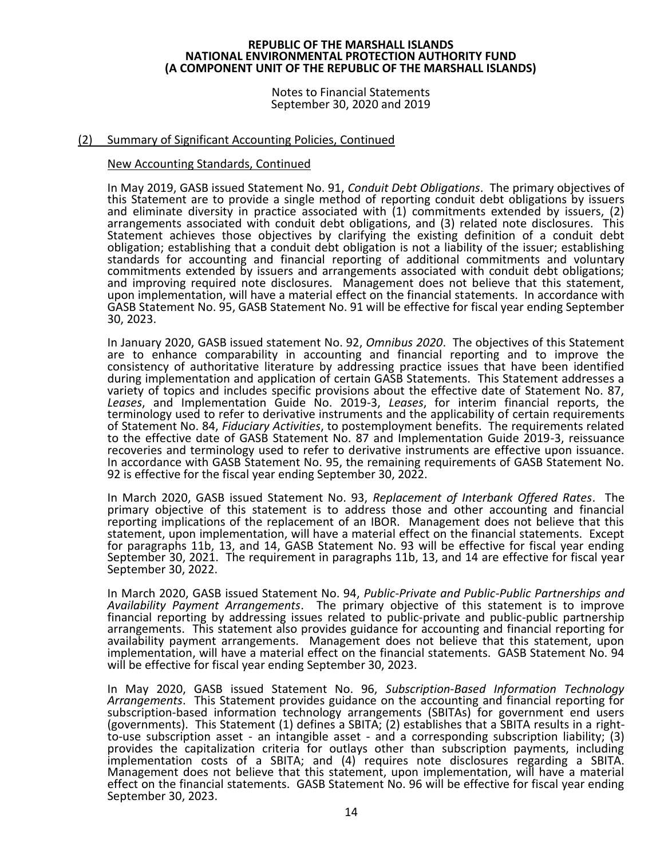Notes to Financial Statements September 30, 2020 and 2019

# (2) Summary of Significant Accounting Policies, Continued

#### New Accounting Standards, Continued

In May 2019, GASB issued Statement No. 91, *Conduit Debt Obligations*. The primary objectives of this Statement are to provide a single method of reporting conduit debt obligations by issuers and eliminate diversity in practice associated with (1) commitments extended by issuers, (2) arrangements associated with conduit debt obligations, and (3) related note disclosures. This Statement achieves those objectives by clarifying the existing definition of a conduit debt obligation; establishing that a conduit debt obligation is not a liability of the issuer; establishing standards for accounting and financial reporting of additional commitments and voluntary commitments extended by issuers and arrangements associated with conduit debt obligations; and improving required note disclosures. Management does not believe that this statement, upon implementation, will have a material effect on the financial statements. In accordance with GASB Statement No. 95, GASB Statement No. 91 will be effective for fiscal year ending September 30, 2023.

In January 2020, GASB issued statement No. 92, *Omnibus 2020*. The objectives of this Statement are to enhance comparability in accounting and financial reporting and to improve the consistency of authoritative literature by addressing practice issues that have been identified during implementation and application of certain GASB Statements. This Statement addresses a variety of topics and includes specific provisions about the effective date of Statement No. 87, *Leases*, and Implementation Guide No. 2019-3, *Leases*, for interim financial reports, the terminology used to refer to derivative instruments and the applicability of certain requirements of Statement No. 84, *Fiduciary Activities*, to postemployment benefits. The requirements related to the effective date of GASB Statement No. 87 and Implementation Guide 2019-3, reissuance recoveries and terminology used to refer to derivative instruments are effective upon issuance. In accordance with GASB Statement No. 95, the remaining requirements of GASB Statement No. 92 is effective for the fiscal year ending September 30, 2022.

In March 2020, GASB issued Statement No. 93, *Replacement of Interbank Offered Rates*. The primary objective of this statement is to address those and other accounting and financial reporting implications of the replacement of an IBOR. Management does not believe that this statement, upon implementation, will have a material effect on the financial statements. Except for paragraphs 11b, 13, and 14, GASB Statement No. 93 will be effective for fiscal year ending September 30, 2021. The requirement in paragraphs 11b, 13, and 14 are effective for fiscal year September 30, 2022.

In March 2020, GASB issued Statement No. 94, *Public-Private and Public-Public Partnerships and Availability Payment Arrangements*. The primary objective of this statement is to improve financial reporting by addressing issues related to public-private and public-public partnership arrangements. This statement also provides guidance for accounting and financial reporting for availability payment arrangements. Management does not believe that this statement, upon implementation, will have a material effect on the financial statements. GASB Statement No. 94 will be effective for fiscal year ending September 30, 2023.

In May 2020, GASB issued Statement No. 96, *Subscription-Based Information Technology Arrangements*. This Statement provides guidance on the accounting and financial reporting for subscription-based information technology arrangements (SBITAs) for government end users (governments). This Statement (1) defines a SBITA; (2) establishes that a SBITA results in a rightto-use subscription asset - an intangible asset - and a corresponding subscription liability; (3) provides the capitalization criteria for outlays other than subscription payments, including implementation costs of a SBITA; and (4) requires note disclosures regarding a SBITA. Management does not believe that this statement, upon implementation, will have a material effect on the financial statements. GASB Statement No. 96 will be effective for fiscal year ending September 30, 2023.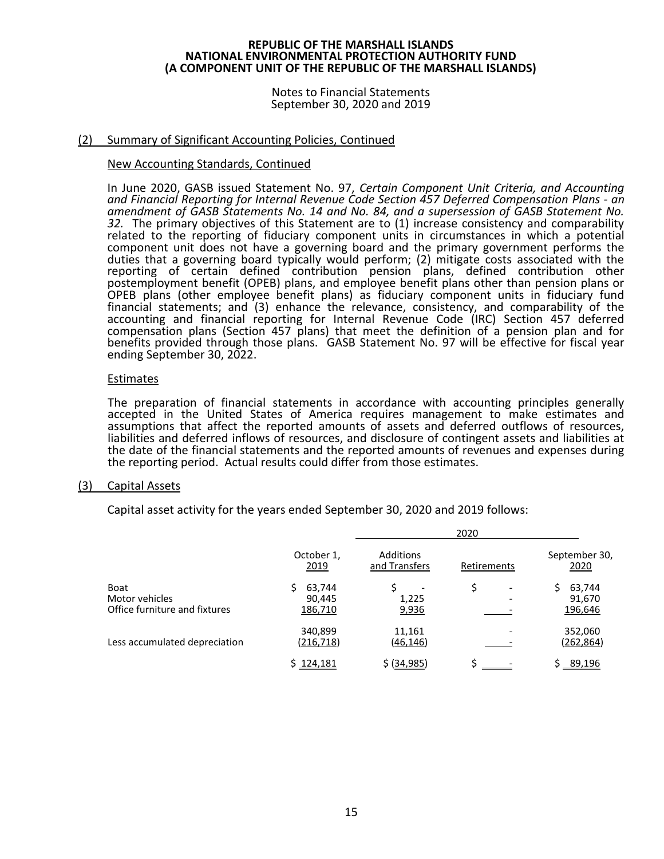Notes to Financial Statements September 30, 2020 and 2019

# (2) Summary of Significant Accounting Policies, Continued

#### New Accounting Standards, Continued

In June 2020, GASB issued Statement No. 97, *Certain Component Unit Criteria, and Accounting and Financial Reporting for Internal Revenue Code Section 457 Deferred Compensation Plans - an amendment of GASB Statements No. 14 and No. 84, and a supersession of GASB Statement No. 32.* The primary objectives of this Statement are to (1) increase consistency and comparability related to the reporting of fiduciary component units in circumstances in which a potential component unit does not have a governing board and the primary government performs the duties that a governing board typically would perform; (2) mitigate costs associated with the reporting of certain defined contribution pension plans, defined contribution other postemployment benefit (OPEB) plans, and employee benefit plans other than pension plans or OPEB plans (other employee benefit plans) as fiduciary component units in fiduciary fund financial statements; and (3) enhance the relevance, consistency, and comparability of the accounting and financial reporting for Internal Revenue Code (IRC) Section 457 deferred compensation plans (Section 457 plans) that meet the definition of a pension plan and for benefits provided through those plans. GASB Statement No. 97 will be effective for fiscal year ending September 30, 2022.

# Estimates

The preparation of financial statements in accordance with accounting principles generally accepted in the United States of America requires management to make estimates and assumptions that affect the reported amounts of assets and deferred outflows of resources, liabilities and deferred inflows of resources, and disclosure of contingent assets and liabilities at the date of the financial statements and the reported amounts of revenues and expenses during the reporting period. Actual results could differ from those estimates.

# (3) Capital Assets

Capital asset activity for the years ended September 30, 2020 and 2019 follows:

|                                                         |                             | 2020                              |             |                             |  |  |  |  |
|---------------------------------------------------------|-----------------------------|-----------------------------------|-------------|-----------------------------|--|--|--|--|
|                                                         | October 1,<br>2019          | <b>Additions</b><br>and Transfers | Retirements | September 30,<br>2020       |  |  |  |  |
| Boat<br>Motor vehicles<br>Office furniture and fixtures | 63,744<br>90,445<br>186,710 | 1,225<br>9,936                    | ۰           | 63,744<br>91,670<br>196,646 |  |  |  |  |
| Less accumulated depreciation                           | 340,899<br>(216, 718)       | 11,161<br>(46,146)                |             | 352,060<br>(262,864)        |  |  |  |  |
|                                                         | \$124,181                   | \$ (34,985)                       |             | 89,196                      |  |  |  |  |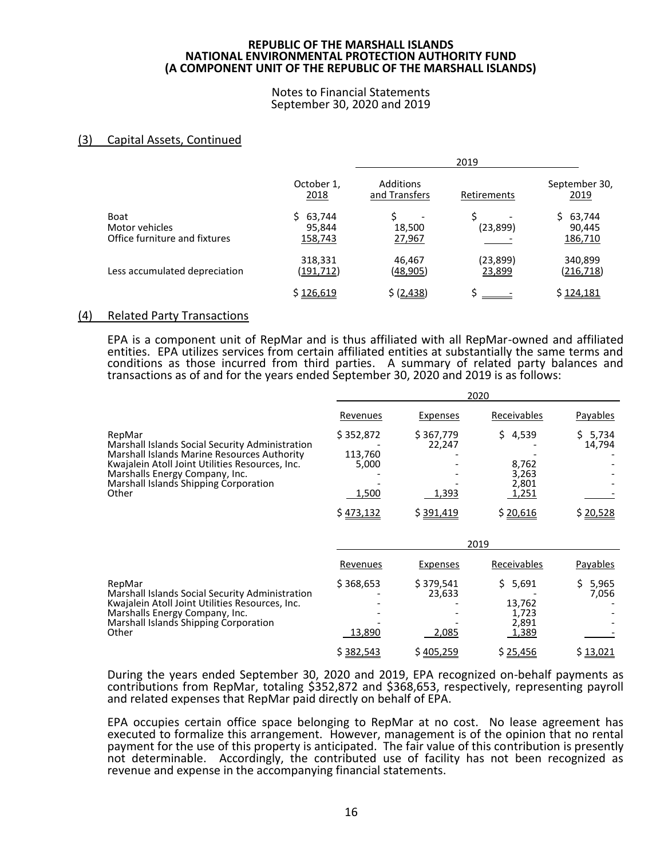Notes to Financial Statements September 30, 2020 and 2019

# (3) Capital Assets, Continued

|                                                                |                             | 2019                       |                     |                                   |
|----------------------------------------------------------------|-----------------------------|----------------------------|---------------------|-----------------------------------|
|                                                                | October 1,<br>2018          | Additions<br>and Transfers | Retirements         | September 30,<br>2019             |
| <b>Boat</b><br>Motor vehicles<br>Office furniture and fixtures | 63,744<br>95,844<br>158,743 | Š.<br>18,500<br>27,967     | (23, 899)           | 63,744<br>S.<br>90,445<br>186,710 |
| Less accumulated depreciation                                  | 318,331<br>(191,712)        | 46,467<br>(48,905)         | (23, 899)<br>23,899 | 340,899<br>(216, 718)             |
|                                                                | \$126,619                   | \$ (2,438)                 |                     | \$124,181                         |

#### (4) Related Party Transactions

EPA is a component unit of RepMar and is thus affiliated with all RepMar-owned and affiliated entities. EPA utilizes services from certain affiliated entities at substantially the same terms and conditions as those incurred from third parties. A summary of related party balances and transactions as of and for the years ended September 30, 2020 and 2019 is as follows:

 $\frac{1}{2}$ 

|                                                                                                                                                                                                                                                 | 2020                                   |                              |                                              |                      |
|-------------------------------------------------------------------------------------------------------------------------------------------------------------------------------------------------------------------------------------------------|----------------------------------------|------------------------------|----------------------------------------------|----------------------|
|                                                                                                                                                                                                                                                 | Revenues                               | Expenses                     | Receivables                                  | Payables             |
| RepMar<br>Marshall Islands Social Security Administration<br>Marshall Islands Marine Resources Authority<br>Kwajalein Atoll Joint Utilities Resources, Inc.<br>Marshalls Energy Company, Inc.<br>Marshall Islands Shipping Corporation<br>Other | \$352,872<br>113,760<br>5,000<br>1,500 | \$367,779<br>22,247<br>1,393 | \$4,539<br>8,762<br>3,263<br>2,801<br>1,251  | \$5,734<br>14,794    |
|                                                                                                                                                                                                                                                 | \$473,132                              | \$391,419                    | \$20,616                                     | \$20,528             |
|                                                                                                                                                                                                                                                 | 2019                                   |                              |                                              |                      |
| RepMar<br>Marshall Islands Social Security Administration<br>Kwajalein Atoll Joint Utilities Resources, Inc.<br>Marshalls Energy Company, Inc.<br>Marshall Islands Shipping Corporation<br>Other                                                | Revenues                               | Expenses                     | Receivables                                  | Payables             |
|                                                                                                                                                                                                                                                 | \$368,653<br>13,890                    | \$379,541<br>23,633<br>2,085 | \$5,691<br>13,762<br>1,723<br>2,891<br>1,389 | 5,965<br>S.<br>7,056 |
|                                                                                                                                                                                                                                                 | \$382,543                              | \$405,259                    | \$25,456                                     | \$13,021             |

During the years ended September 30, 2020 and 2019, EPA recognized on-behalf payments as contributions from RepMar, totaling \$352,872 and \$368,653, respectively, representing payroll and related expenses that RepMar paid directly on behalf of EPA.

EPA occupies certain office space belonging to RepMar at no cost. No lease agreement has executed to formalize this arrangement. However, management is of the opinion that no rental payment for the use of this property is anticipated. The fair value of this contribution is presently not determinable. Accordingly, the contributed use of facility has not been recognized as revenue and expense in the accompanying financial statements.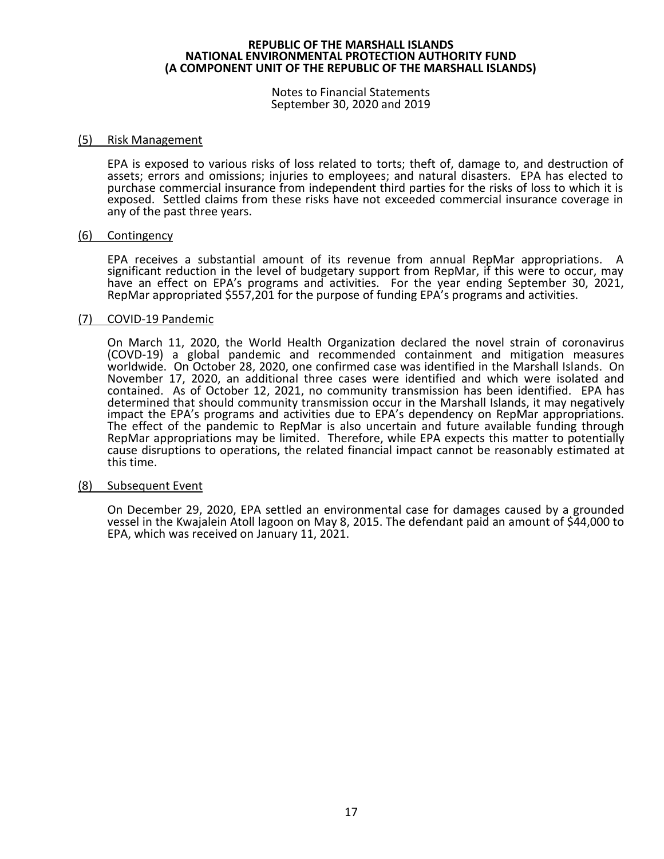Notes to Financial Statements September 30, 2020 and 2019

#### (5) Risk Management

EPA is exposed to various risks of loss related to torts; theft of, damage to, and destruction of assets; errors and omissions; injuries to employees; and natural disasters. EPA has elected to purchase commercial insurance from independent third parties for the risks of loss to which it is exposed. Settled claims from these risks have not exceeded commercial insurance coverage in any of the past three years.

#### (6) Contingency

EPA receives a substantial amount of its revenue from annual RepMar appropriations. A significant reduction in the level of budgetary support from RepMar, if this were to occur, may have an effect on EPA's programs and activities. For the year ending September 30, 2021, RepMar appropriated \$557,201 for the purpose of funding EPA's programs and activities.

#### (7) COVID-19 Pandemic

On March 11, 2020, the World Health Organization declared the novel strain of coronavirus (COVD-19) a global pandemic and recommended containment and mitigation measures worldwide. On October 28, 2020, one confirmed case was identified in the Marshall Islands. On November 17, 2020, an additional three cases were identified and which were isolated and contained. As of October 12, 2021, no community transmission has been identified. EPA has determined that should community transmission occur in the Marshall Islands, it may negatively impact the EPA's programs and activities due to EPA's dependency on RepMar appropriations. The effect of the pandemic to RepMar is also uncertain and future available funding through RepMar appropriations may be limited. Therefore, while EPA expects this matter to potentially cause disruptions to operations, the related financial impact cannot be reasonably estimated at this time.

#### (8) Subsequent Event

On December 29, 2020, EPA settled an environmental case for damages caused by a grounded vessel in the Kwajalein Atoll lagoon on May 8, 2015. The defendant paid an amount of \$44,000 to EPA, which was received on January 11, 2021.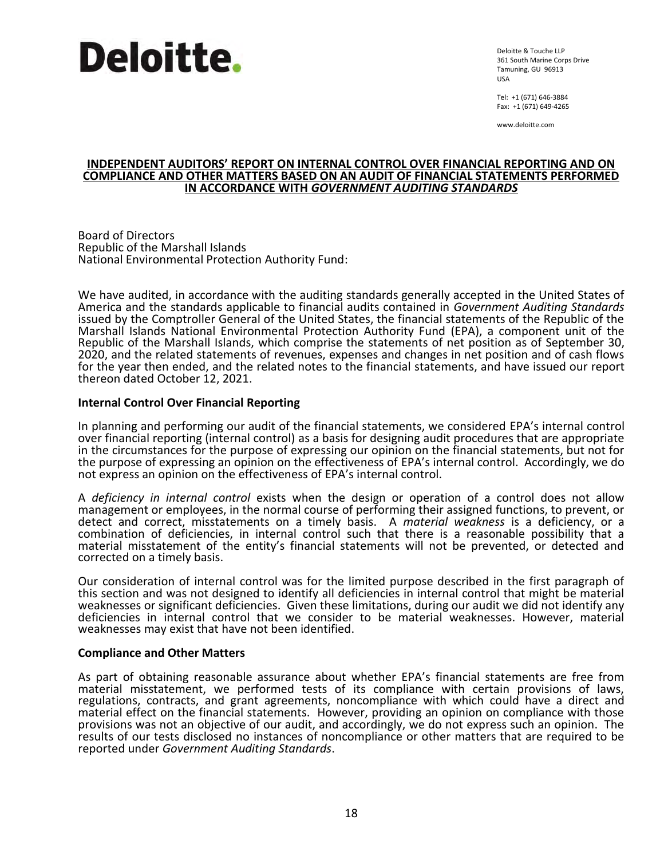

Deloitte & Touche LLP 361 South Marine Corps Drive Tamuning, GU 96913 USA

Tel: +1 (671) 646-3884 Fax: +1 (671) 649-4265

www.deloitte.com

#### **INDEPENDENT AUDITORS' REPORT ON INTERNAL CONTROL OVER FINANCIAL REPORTING AND ON COMPLIANCE AND OTHER MATTERS BASED ON AN AUDIT OF FINANCIAL STATEMENTS PERFORMED IN ACCORDANCE WITH** *GOVERNMENT AUDITING STANDARDS*

Board of Directors Republic of the Marshall Islands National Environmental Protection Authority Fund:

We have audited, in accordance with the auditing standards generally accepted in the United States of America and the standards applicable to financial audits contained in *Government Auditing Standards* issued by the Comptroller General of the United States, the financial statements of the Republic of the Marshall Islands National Environmental Protection Authority Fund (EPA), a component unit of the Republic of the Marshall Islands, which comprise the statements of net position as of September 30, 2020, and the related statements of revenues, expenses and changes in net position and of cash flows for the year then ended, and the related notes to the financial statements, and have issued our report thereon dated October 12, 2021.

# **Internal Control Over Financial Reporting**

In planning and performing our audit of the financial statements, we considered EPA's internal control over financial reporting (internal control) as a basis for designing audit procedures that are appropriate in the circumstances for the purpose of expressing our opinion on the financial statements, but not for the purpose of expressing an opinion on the effectiveness of EPA's internal control. Accordingly, we do not express an opinion on the effectiveness of EPA's internal control.

A *deficiency in internal control* exists when the design or operation of a control does not allow management or employees, in the normal course of performing their assigned functions, to prevent, or detect and correct, misstatements on a timely basis. A *material weakness* is a deficiency, or a combination of deficiencies, in internal control such that there is a reasonable possibility that a material misstatement of the entity's financial statements will not be prevented, or detected and corrected on a timely basis.

Our consideration of internal control was for the limited purpose described in the first paragraph of this section and was not designed to identify all deficiencies in internal control that might be material weaknesses or significant deficiencies. Given these limitations, during our audit we did not identify any deficiencies in internal control that we consider to be material weaknesses. However, material weaknesses may exist that have not been identified.

#### **Compliance and Other Matters**

As part of obtaining reasonable assurance about whether EPA's financial statements are free from material misstatement, we performed tests of its compliance with certain provisions of laws, regulations, contracts, and grant agreements, noncompliance with which could have a direct and material effect on the financial statements. However, providing an opinion on compliance with those provisions was not an objective of our audit, and accordingly, we do not express such an opinion. The results of our tests disclosed no instances of noncompliance or other matters that are required to be reported under *Government Auditing Standards*.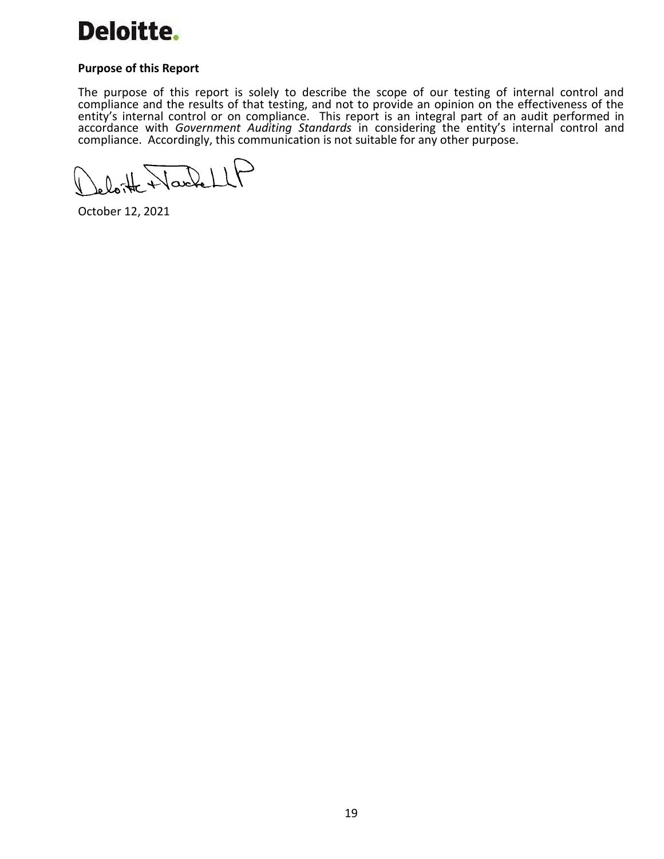

# **Purpose of this Report**

The purpose of this report is solely to describe the scope of our testing of internal control and compliance and the results of that testing, and not to provide an opinion on the effectiveness of the entity's internal control or on compliance. This report is an integral part of an audit performed in accordance with *Government Auditing Standards* in considering the entity's internal control and compliance. Accordingly, this communication is not suitable for any other purpose.

loite Nachell

October 12, 2021